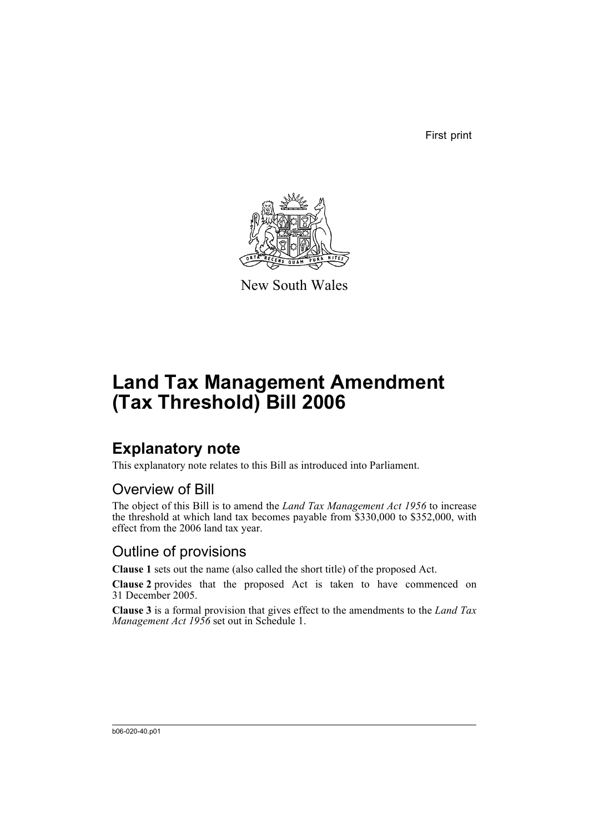First print



New South Wales

# **Land Tax Management Amendment (Tax Threshold) Bill 2006**

### **Explanatory note**

This explanatory note relates to this Bill as introduced into Parliament.

#### Overview of Bill

The object of this Bill is to amend the *Land Tax Management Act 1956* to increase the threshold at which land tax becomes payable from \$330,000 to \$352,000, with effect from the 2006 land tax year.

### Outline of provisions

**Clause 1** sets out the name (also called the short title) of the proposed Act.

**Clause 2** provides that the proposed Act is taken to have commenced on 31 December 2005.

**Clause 3** is a formal provision that gives effect to the amendments to the *Land Tax Management Act 1956* set out in Schedule 1.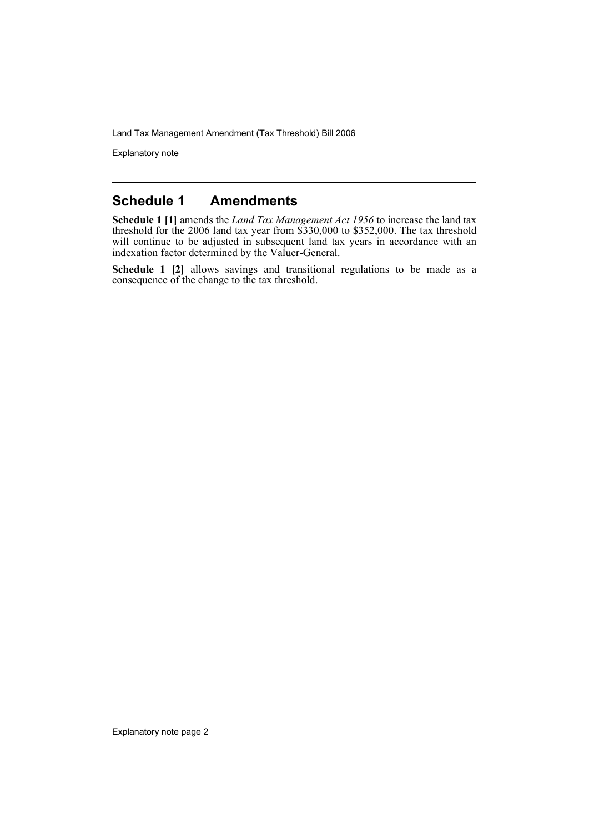Land Tax Management Amendment (Tax Threshold) Bill 2006

Explanatory note

#### **Schedule 1 Amendments**

**Schedule 1 [1]** amends the *Land Tax Management Act 1956* to increase the land tax threshold for the 2006 land tax year from \$330,000 to \$352,000. The tax threshold will continue to be adjusted in subsequent land tax years in accordance with an indexation factor determined by the Valuer-General.

**Schedule 1 [2]** allows savings and transitional regulations to be made as a consequence of the change to the tax threshold.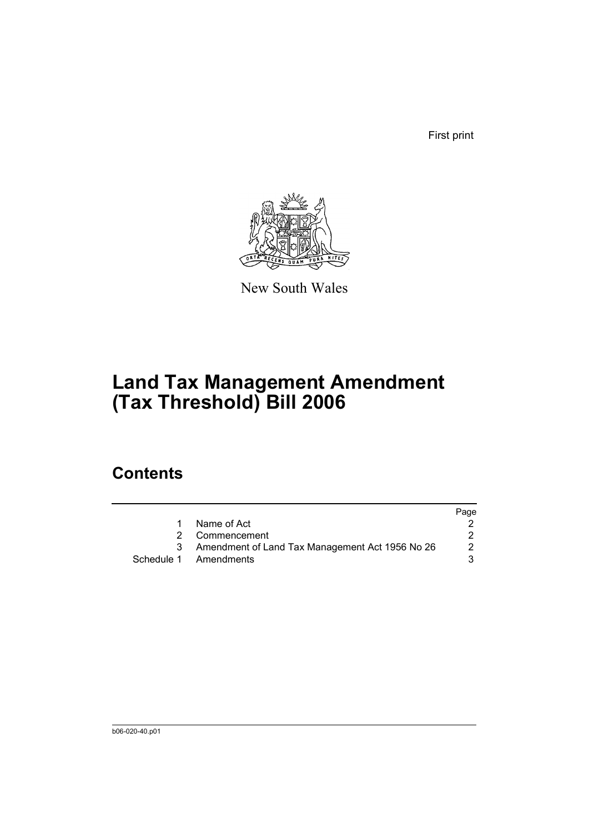First print



New South Wales

## **Land Tax Management Amendment (Tax Threshold) Bill 2006**

### **Contents**

|                                                   | Page |
|---------------------------------------------------|------|
| Name of Act                                       |      |
| 2 Commencement                                    |      |
| 3 Amendment of Land Tax Management Act 1956 No 26 | 2    |
| Schedule 1 Amendments                             |      |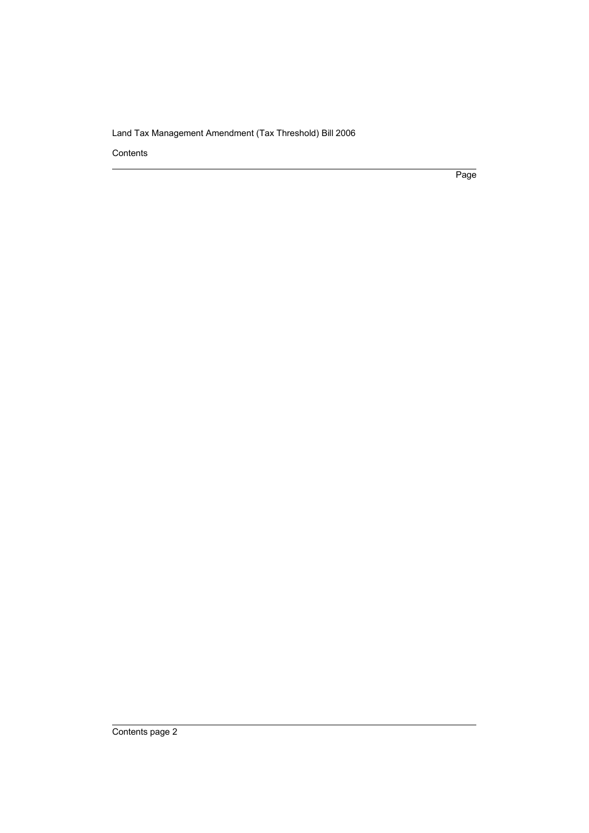Land Tax Management Amendment (Tax Threshold) Bill 2006

Contents

Page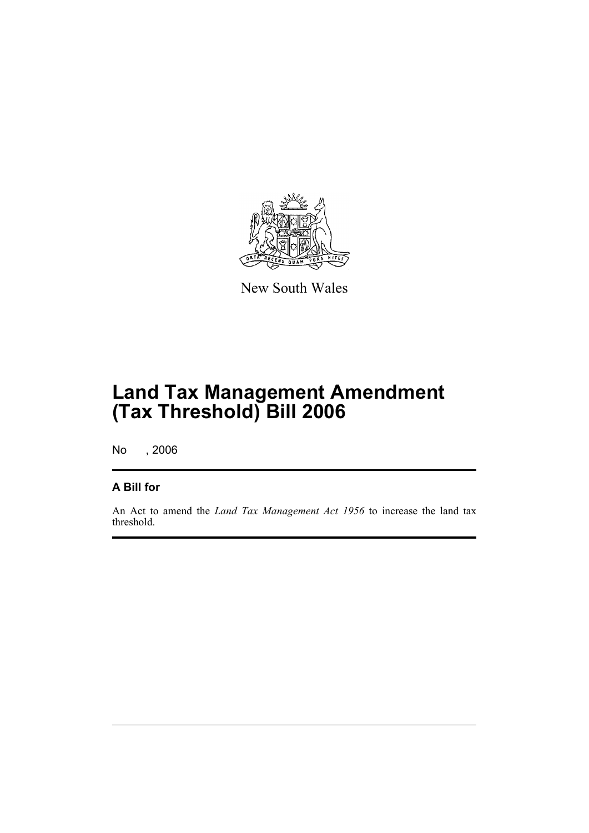

New South Wales

## **Land Tax Management Amendment (Tax Threshold) Bill 2006**

No , 2006

#### **A Bill for**

An Act to amend the *Land Tax Management Act 1956* to increase the land tax threshold.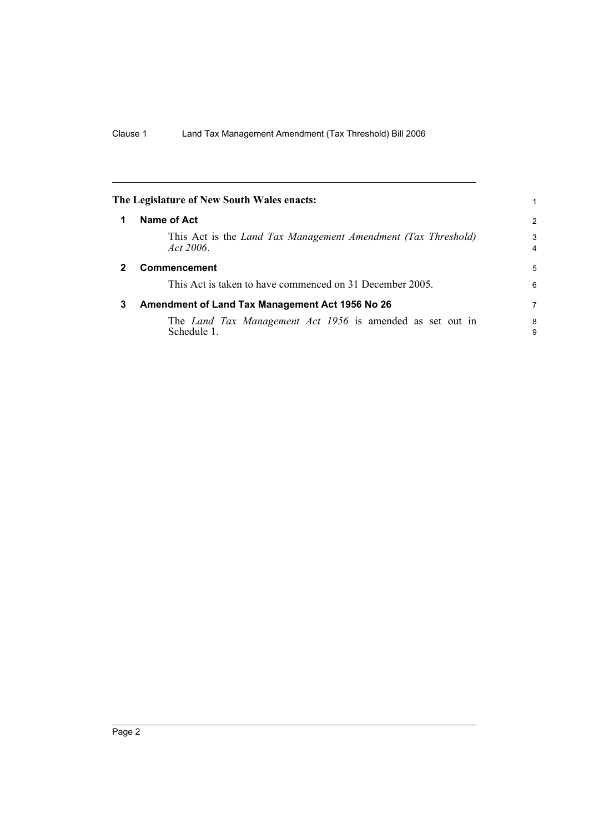<span id="page-5-2"></span><span id="page-5-1"></span><span id="page-5-0"></span>

| The Legislature of New South Wales enacts:                                        |                     |
|-----------------------------------------------------------------------------------|---------------------|
| <b>Name of Act</b>                                                                | 2                   |
| This Act is the <i>Land Tax Management Amendment (Tax Threshold)</i><br>Act 2006. | 3<br>$\overline{4}$ |
| <b>Commencement</b>                                                               | 5                   |
| This Act is taken to have commenced on 31 December 2005.                          | 6                   |
| Amendment of Land Tax Management Act 1956 No 26                                   | 7                   |
| The <i>Land Tax Management Act 1956</i> is amended as set out in<br>Schedule 1.   | 8<br>9              |
|                                                                                   |                     |